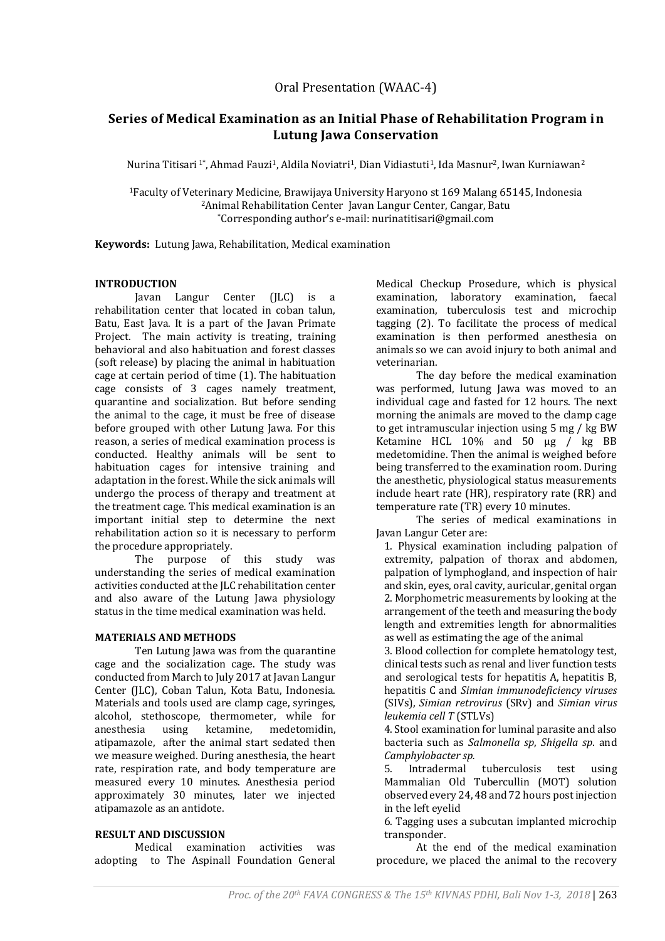# **Series of Medical Examination as an Initial Phase of Rehabilitation Program in Lutung Jawa Conservation**

Nurina Titisari <sup>1</sup>\*, Ahmad Fauzi<sup>1</sup>, Aldila Noviatri<sup>1</sup>, Dian Vidiastuti<sup>1</sup>, Ida Masnur<sup>2</sup>, Iwan Kurniawan<sup>2</sup>

<sup>1</sup>Faculty of Veterinary Medicine, Brawijaya University Haryono st 169 Malang 65145, Indonesia <sup>2</sup>Animal Rehabilitation Center Javan Langur Center, Cangar, Batu \*Corresponding author's e-mail[: nurinatitisari@gmail.com](mailto:nurinatitisari@gmail.com)

**Keywords:** Lutung Jawa, Rehabilitation, Medical examination

# **INTRODUCTION**

Javan Langur Center (JLC) is a rehabilitation center that located in coban talun, Batu, East Java. It is a part of the Javan Primate Project. The main activity is treating, training behavioral and also habituation and forest classes (soft release) by placing the animal in habituation cage at certain period of time (1). The habituation cage consists of 3 cages namely treatment, quarantine and socialization. But before sending the animal to the cage, it must be free of disease before grouped with other Lutung Jawa. For this reason, a series of medical examination process is conducted. Healthy animals will be sent to habituation cages for intensive training and adaptation in the forest. While the sick animals will undergo the process of therapy and treatment at the treatment cage. This medical examination is an important initial step to determine the next rehabilitation action so it is necessary to perform the procedure appropriately.

The purpose of this study was understanding the series of medical examination activities conducted at the JLC rehabilitation center and also aware of the Lutung Jawa physiology status in the time medical examination was held.

### **MATERIALS AND METHODS**

Ten Lutung Jawa was from the quarantine cage and the socialization cage. The study was conducted from March to July 2017 at Javan Langur Center (JLC), Coban Talun, Kota Batu, Indonesia. Materials and tools used are clamp cage, syringes, alcohol, stethoscope, thermometer, while for anesthesia using ketamine, medetomidin, atipamazole, after the animal start sedated then we measure weighed. During anesthesia, the heart rate, respiration rate, and body temperature are measured every 10 minutes. Anesthesia period approximately 30 minutes, later we injected atipamazole as an antidote.

# **RESULT AND DISCUSSION**

Medical examination activities was adopting to The Aspinall Foundation General

Medical Checkup Prosedure, which is physical examination, laboratory examination, faecal examination, tuberculosis test and microchip tagging (2). To facilitate the process of medical examination is then performed anesthesia on animals so we can avoid injury to both animal and veterinarian.

The day before the medical examination was performed, lutung Jawa was moved to an individual cage and fasted for 12 hours. The next morning the animals are moved to the clamp cage to get intramuscular injection using 5 mg / kg BW Ketamine HCL 10% and 50 μg / kg BB medetomidine. Then the animal is weighed before being transferred to the examination room. During the anesthetic, physiological status measurements include heart rate (HR), respiratory rate (RR) and temperature rate (TR) every 10 minutes.

The series of medical examinations in Javan Langur Ceter are:

1. Physical examination including palpation of extremity, palpation of thorax and abdomen, palpation of lymphogland, and inspection of hair and skin, eyes, oral cavity, auricular, genital organ 2. Morphometric measurements by looking at the arrangement of the teeth and measuring the body length and extremities length for abnormalities as well as estimating the age of the animal

3. Blood collection for complete hematology test, clinical tests such as renal and liver function tests and serological tests for hepatitis A, hepatitis B, hepatitis C and *Simian immunodeficiency viruses* (SIVs), *Simian retrovirus* (SRv) and *Simian virus leukemia cell T* (STLVs)

4. Stool examination for luminal parasite and also bacteria such as *Salmonella sp*, *Shigella sp*. and *Camphylobacter sp.*

5. Intradermal tuberculosis test using Mammalian Old Tubercullin (MOT) solution observed every 24, 48 and 72 hours post injection in the left eyelid

6. Tagging uses a subcutan implanted microchip transponder.

At the end of the medical examination procedure, we placed the animal to the recovery